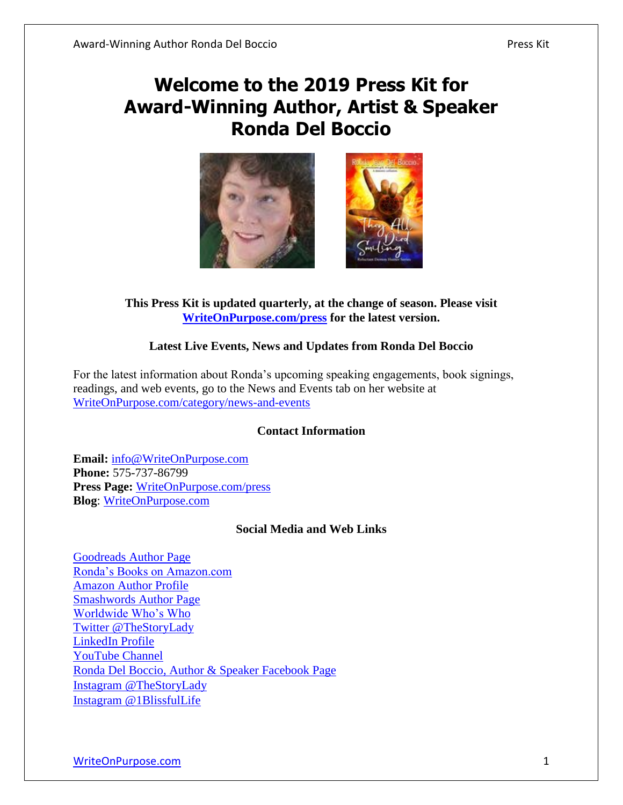# **Welcome to the 2019 Press Kit for Award-Winning Author, Artist & Speaker Ronda Del Boccio**



#### **This Press Kit is updated quarterly, at the change of season. Please visit [WriteOnPurpose.com/press](https://writeonpurpose.com/press) for the latest version.**

### **Latest Live Events, News and Updates from Ronda Del Boccio**

For the latest information about Ronda's upcoming speaking engagements, book signings, readings, and web events, go to the News and Events tab on her website at [WriteOnPurpose.com/category/news-and-events](https://writeonpurpose.com/category/news-and-events)

#### **Contact Information**

**Email:** [info@WriteOnPurpose.com](mailto:info@WriteOnPurpose.com) **Phone:** 575-737-86799 **Press Page:** [WriteOnPurpose.com/press](http://writeonpurpose.com/press) **Blog**: WriteOnPurpose.com

#### **Social Media and Web Links**

[Goodreads Author Page](http://www.goodreads.com/author/show/4308115.Ronda_Del_Boccio) [Ronda's Books on Amazon.com](http://writeonpurpose.com/amazon) [Amazon Author Profile](http://profitablestorytelling.com/amazonprofile) [Smashwords Author Page](https://www.smashwords.com/profile/view/AuthorRonda) [Worldwide Who's Who](http://www.worldwidewhoswho.com/Ronda-DelBoccio) [Twitter @TheStoryLady](http://twitter.com/thestorylady) [LinkedIn Profile](http://linkedin.com/in/thestorylady) [YouTube Channel](http://www.youtube.com/rockinrondad) [Ronda Del Boccio, Author & Speaker Facebook Page](https://www.facebook.com/RondaDelBoccio) [Instagram](https://www.instagram.com/thestorylady) @TheStoryLady [Instagram @1BlissfulLife](https://www.instagram.com/1blissfullife)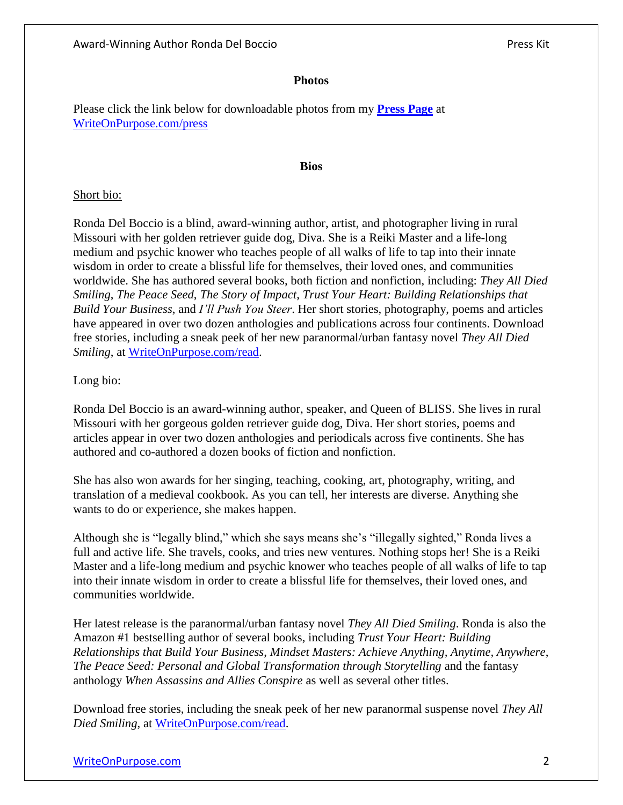#### **Photos**

Please click the link below for downloadable photos from my **[Press Page](https://writeonpurpose.com/press)** at [WriteOnPurpose.com/press](https://writeonpurpose.com/press)

#### **Bios**

#### Short bio:

Ronda Del Boccio is a blind, award-winning author, artist, and photographer living in rural Missouri with her golden retriever guide dog, Diva. She is a Reiki Master and a life-long medium and psychic knower who teaches people of all walks of life to tap into their innate wisdom in order to create a blissful life for themselves, their loved ones, and communities worldwide. She has authored several books, both fiction and nonfiction, including: *They All Died Smiling*, *The Peace Seed*, *The Story of Impact*, *Trust Your Heart: Building Relationships that Build Your Business*, and *I'll Push You Steer*. Her short stories, photography, poems and articles have appeared in over two dozen anthologies and publications across four continents. Download free stories, including a sneak peek of her new paranormal/urban fantasy novel *They All Died Smiling*, at [WriteOnPurpose.com/read.](https://writeonpurpose.com/read)

#### Long bio:

Ronda Del Boccio is an award-winning author, speaker, and Queen of BLISS. She lives in rural Missouri with her gorgeous golden retriever guide dog, Diva. Her short stories, poems and articles appear in over two dozen anthologies and periodicals across five continents. She has authored and co-authored a dozen books of fiction and nonfiction.

She has also won awards for her singing, teaching, cooking, art, photography, writing, and translation of a medieval cookbook. As you can tell, her interests are diverse. Anything she wants to do or experience, she makes happen.

Although she is "legally blind," which she says means she's "illegally sighted," Ronda lives a full and active life. She travels, cooks, and tries new ventures. Nothing stops her! She is a Reiki Master and a life-long medium and psychic knower who teaches people of all walks of life to tap into their innate wisdom in order to create a blissful life for themselves, their loved ones, and communities worldwide.

Her latest release is the paranormal/urban fantasy novel *They All Died Smiling*. Ronda is also the Amazon #1 bestselling author of several books, including *Trust Your Heart: Building Relationships that Build Your Business*, *Mindset Masters: Achieve Anything, Anytime, Anywhere*, *The Peace Seed: Personal and Global Transformation through Storytelling* and the fantasy anthology *When Assassins and Allies Conspire* as well as several other titles.

Download free stories, including the sneak peek of her new paranormal suspense novel *They All Died Smiling*, at [WriteOnPurpose.com/read.](https://writeonpurpose.com/read)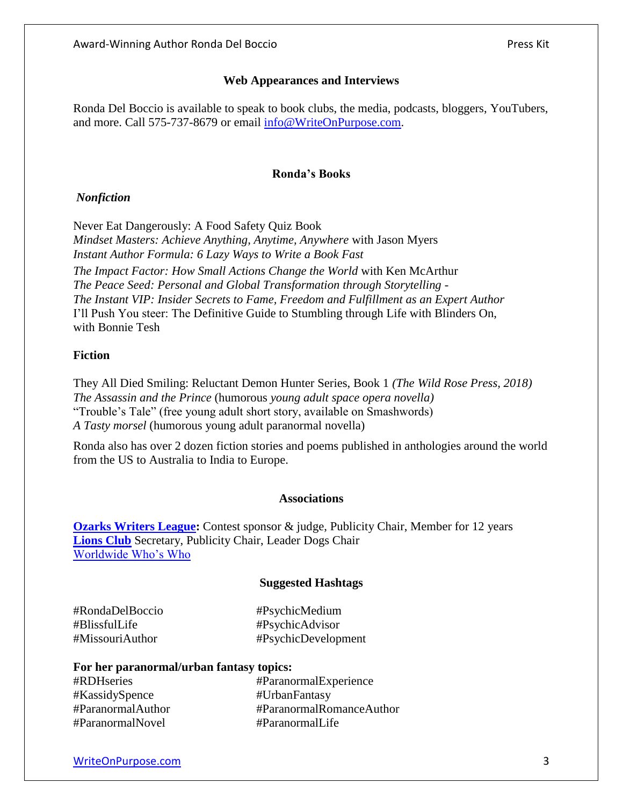Ronda Del Boccio is available to speak to book clubs, the media, podcasts, bloggers, YouTubers, and more. Call 575-737-8679 or email [info@WriteOnPurpose.com.](mailto:info@WriteOnPurpose.com)

#### **Ronda's Books**

#### *Nonfiction*

Never Eat Dangerously: A Food Safety Quiz Book *Mindset Masters: Achieve Anything, Anytime, Anywhere* with Jason Myers *Instant Author Formula: 6 Lazy Ways to Write a Book Fast The Impact Factor: How Small Actions Change the World* with Ken McArthur *The Peace Seed: Personal and Global Transformation through Storytelling* - *The Instant VIP: Insider Secrets to Fame, Freedom and Fulfillment as an Expert Author* I'll Push You steer: The Definitive Guide to Stumbling through Life with Blinders On, with Bonnie Tesh

### **Fiction**

They All Died Smiling: Reluctant Demon Hunter Series, Book 1 *(The Wild Rose Press, 2018) The Assassin and the Prince* (humorous *young adult space opera novella)* "Trouble's Tale" (free young adult short story, available on Smashwords) *A Tasty morsel* (humorous young adult paranormal novella)

Ronda also has over 2 dozen fiction stories and poems published in anthologies around the world from the US to Australia to India to Europe.

#### **Associations**

**[Ozarks Writers League:](http://www.ozarkswritersleague.com/)** Contest sponsor & judge, Publicity Chair, Member for 12 years **[Lions Club](https://www.facebook.com/kcmolions)** Secretary, Publicity Chair, Leader Dogs Chair [Worldwide Who's Who](http://www.worldwidewhoswho.com/Ronda-DelBoccio)

#### **Suggested Hashtags**

| #RondaDelBoccio | #PsychicMedium      |
|-----------------|---------------------|
| #BlissfulLife   | #PsychicAdvisor     |
| #MissouriAuthor | #PsychicDevelopment |

#### **For her paranormal/urban fantasy topics:**

| #RDHseries        | #ParanormalExperience    |
|-------------------|--------------------------|
| #KassidySpence    | #UrbanFantasy            |
| #ParanormalAuthor | #ParanormalRomanceAuthor |
| #ParanormalNovel  | #ParanormalLife          |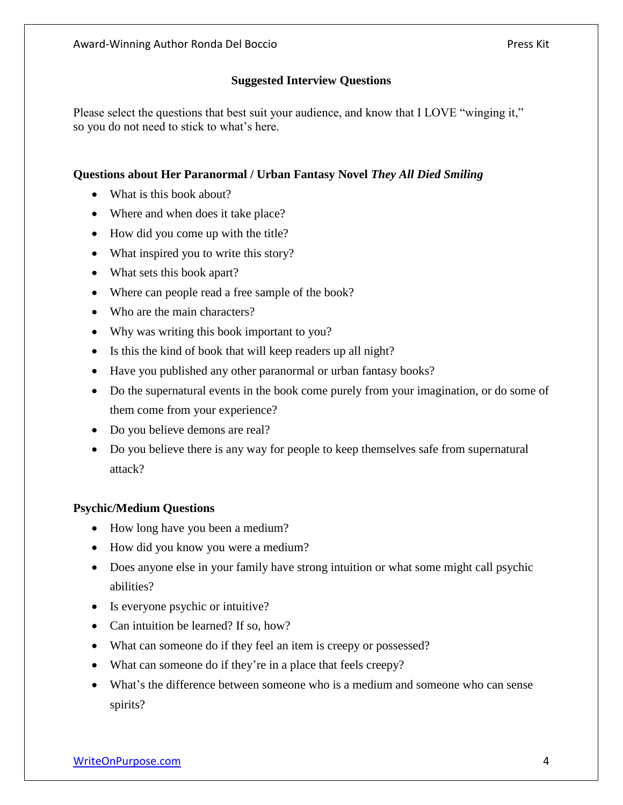Please select the questions that best suit your audience, and know that I LOVE "winging it," so you do not need to stick to what's here.

## **Questions about Her Paranormal / Urban Fantasy Novel** *They All Died Smiling*

- What is this book about?
- Where and when does it take place?
- How did you come up with the title?
- What inspired you to write this story?
- What sets this book apart?
- Where can people read a free sample of the book?
- Who are the main characters?
- Why was writing this book important to you?
- Is this the kind of book that will keep readers up all night?
- Have you published any other paranormal or urban fantasy books?
- Do the supernatural events in the book come purely from your imagination, or do some of them come from your experience?
- Do you believe demons are real?
- Do you believe there is any way for people to keep themselves safe from supernatural attack?

# **Psychic/Medium Questions**

- How long have you been a medium?
- How did you know you were a medium?
- Does anyone else in your family have strong intuition or what some might call psychic abilities?
- Is everyone psychic or intuitive?
- Can intuition be learned? If so, how?
- What can someone do if they feel an item is creepy or possessed?
- What can someone do if they're in a place that feels creepy?
- What's the difference between someone who is a medium and someone who can sense spirits?